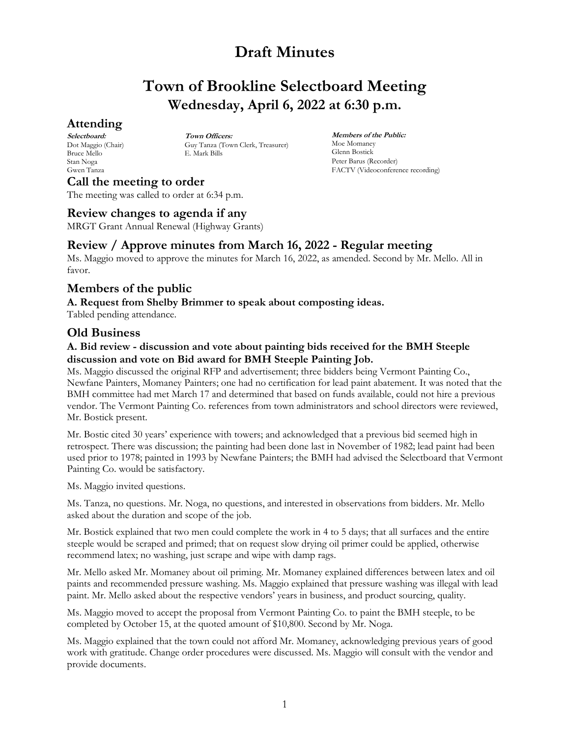# **Town of Brookline Selectboard Meeting Wednesday, April 6, 2022 at 6:30 p.m.**

## **Attending**

**Selectboard:** Dot Maggio (Chair) Bruce Mello Stan Noga Gwen Tanza

**Town Officers:** Guy Tanza (Town Clerk, Treasurer) E. Mark Bills

**Members of the Public:** Moe Momaney Glenn Bostick Peter Barus (Recorder) FACTV (Videoconference recording)

**Call the meeting to order** The meeting was called to order at 6:34 p.m.

## **Review changes to agenda if any**

MRGT Grant Annual Renewal (Highway Grants)

## **Review / Approve minutes from March 16, 2022 - Regular meeting**

Ms. Maggio moved to approve the minutes for March 16, 2022, as amended. Second by Mr. Mello. All in favor.

## **Members of the public**

### **A. Request from Shelby Brimmer to speak about composting ideas.**

Tabled pending attendance.

## **Old Business**

### **A. Bid review - discussion and vote about painting bids received for the BMH Steeple discussion and vote on Bid award for BMH Steeple Painting Job.**

Ms. Maggio discussed the original RFP and advertisement; three bidders being Vermont Painting Co., Newfane Painters, Momaney Painters; one had no certification for lead paint abatement. It was noted that the BMH committee had met March 17 and determined that based on funds available, could not hire a previous vendor. The Vermont Painting Co. references from town administrators and school directors were reviewed, Mr. Bostick present.

Mr. Bostic cited 30 years' experience with towers; and acknowledged that a previous bid seemed high in retrospect. There was discussion; the painting had been done last in November of 1982; lead paint had been used prior to 1978; painted in 1993 by Newfane Painters; the BMH had advised the Selectboard that Vermont Painting Co. would be satisfactory.

Ms. Maggio invited questions.

Ms. Tanza, no questions. Mr. Noga, no questions, and interested in observations from bidders. Mr. Mello asked about the duration and scope of the job.

Mr. Bostick explained that two men could complete the work in 4 to 5 days; that all surfaces and the entire steeple would be scraped and primed; that on request slow drying oil primer could be applied, otherwise recommend latex; no washing, just scrape and wipe with damp rags.

Mr. Mello asked Mr. Momaney about oil priming. Mr. Momaney explained differences between latex and oil paints and recommended pressure washing. Ms. Maggio explained that pressure washing was illegal with lead paint. Mr. Mello asked about the respective vendors' years in business, and product sourcing, quality.

Ms. Maggio moved to accept the proposal from Vermont Painting Co. to paint the BMH steeple, to be completed by October 15, at the quoted amount of \$10,800. Second by Mr. Noga.

Ms. Maggio explained that the town could not afford Mr. Momaney, acknowledging previous years of good work with gratitude. Change order procedures were discussed. Ms. Maggio will consult with the vendor and provide documents.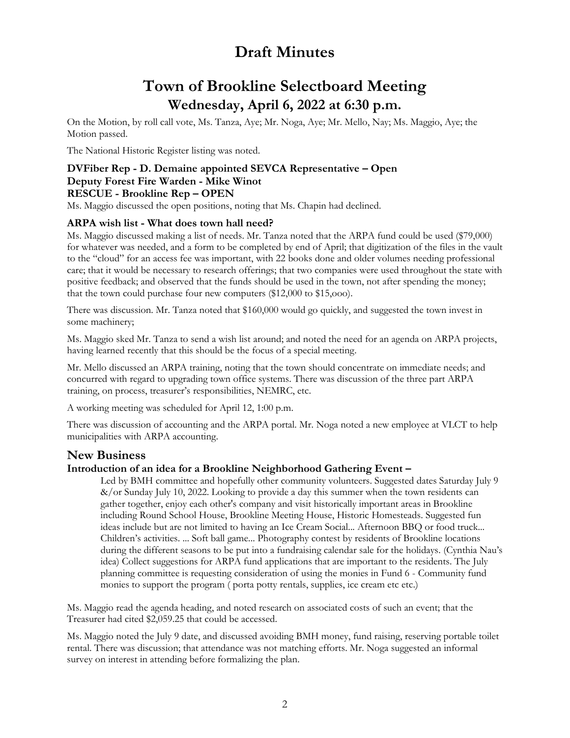# **Town of Brookline Selectboard Meeting Wednesday, April 6, 2022 at 6:30 p.m.**

On the Motion, by roll call vote, Ms. Tanza, Aye; Mr. Noga, Aye; Mr. Mello, Nay; Ms. Maggio, Aye; the Motion passed.

The National Historic Register listing was noted.

### **DVFiber Rep - D. Demaine appointed SEVCA Representative – Open Deputy Forest Fire Warden - Mike Winot RESCUE - Brookline Rep – OPEN**

Ms. Maggio discussed the open positions, noting that Ms. Chapin had declined.

#### **ARPA wish list - What does town hall need?**

Ms. Maggio discussed making a list of needs. Mr. Tanza noted that the ARPA fund could be used (\$79,000) for whatever was needed, and a form to be completed by end of April; that digitization of the files in the vault to the "cloud" for an access fee was important, with 22 books done and older volumes needing professional care; that it would be necessary to research offerings; that two companies were used throughout the state with positive feedback; and observed that the funds should be used in the town, not after spending the money; that the town could purchase four new computers (\$12,000 to \$15,ooo).

There was discussion. Mr. Tanza noted that \$160,000 would go quickly, and suggested the town invest in some machinery;

Ms. Maggio sked Mr. Tanza to send a wish list around; and noted the need for an agenda on ARPA projects, having learned recently that this should be the focus of a special meeting.

Mr. Mello discussed an ARPA training, noting that the town should concentrate on immediate needs; and concurred with regard to upgrading town office systems. There was discussion of the three part ARPA training, on process, treasurer's responsibilities, NEMRC, etc.

A working meeting was scheduled for April 12, 1:00 p.m.

There was discussion of accounting and the ARPA portal. Mr. Noga noted a new employee at VLCT to help municipalities with ARPA accounting.

## **New Business**

#### **Introduction of an idea for a Brookline Neighborhood Gathering Event –**

Led by BMH committee and hopefully other community volunteers. Suggested dates Saturday July 9 &/or Sunday July 10, 2022. Looking to provide a day this summer when the town residents can gather together, enjoy each other's company and visit historically important areas in Brookline including Round School House, Brookline Meeting House, Historic Homesteads. Suggested fun ideas include but are not limited to having an Ice Cream Social... Afternoon BBQ or food truck... Children's activities. ... Soft ball game... Photography contest by residents of Brookline locations during the different seasons to be put into a fundraising calendar sale for the holidays. (Cynthia Nau's idea) Collect suggestions for ARPA fund applications that are important to the residents. The July planning committee is requesting consideration of using the monies in Fund 6 - Community fund monies to support the program ( porta potty rentals, supplies, ice cream etc etc.)

Ms. Maggio read the agenda heading, and noted research on associated costs of such an event; that the Treasurer had cited \$2,059.25 that could be accessed.

Ms. Maggio noted the July 9 date, and discussed avoiding BMH money, fund raising, reserving portable toilet rental. There was discussion; that attendance was not matching efforts. Mr. Noga suggested an informal survey on interest in attending before formalizing the plan.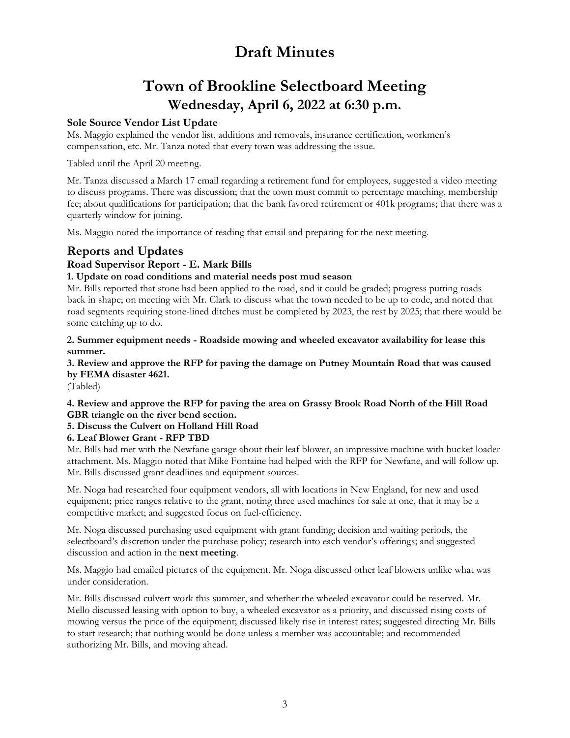# **Town of Brookline Selectboard Meeting Wednesday, April 6, 2022 at 6:30 p.m.**

### **Sole Source Vendor List Update**

Ms. Maggio explained the vendor list, additions and removals, insurance certification, workmen's compensation, etc. Mr. Tanza noted that every town was addressing the issue.

Tabled until the April 20 meeting.

Mr. Tanza discussed a March 17 email regarding a retirement fund for employees, suggested a video meeting to discuss programs. There was discussion; that the town must commit to percentage matching, membership fee; about qualifications for participation; that the bank favored retirement or 401k programs; that there was a quarterly window for joining.

Ms. Maggio noted the importance of reading that email and preparing for the next meeting.

## **Reports and Updates**

## **Road Supervisor Report - E. Mark Bills**

### **1. Update on road conditions and material needs post mud season**

Mr. Bills reported that stone had been applied to the road, and it could be graded; progress putting roads back in shape; on meeting with Mr. Clark to discuss what the town needed to be up to code, and noted that road segments requiring stone-lined ditches must be completed by 2023, the rest by 2025; that there would be some catching up to do.

**2. Summer equipment needs - Roadside mowing and wheeled excavator availability for lease this summer.**

**3. Review and approve the RFP for paving the damage on Putney Mountain Road that was caused by FEMA disaster 4621.**

(Tabled)

**4. Review and approve the RFP for paving the area on Grassy Brook Road North of the Hill Road GBR triangle on the river bend section.**

### **5. Discuss the Culvert on Holland Hill Road**

### **6. Leaf Blower Grant - RFP TBD**

Mr. Bills had met with the Newfane garage about their leaf blower, an impressive machine with bucket loader attachment. Ms. Maggio noted that Mike Fontaine had helped with the RFP for Newfane, and will follow up. Mr. Bills discussed grant deadlines and equipment sources.

Mr. Noga had researched four equipment vendors, all with locations in New England, for new and used equipment; price ranges relative to the grant, noting three used machines for sale at one, that it may be a competitive market; and suggested focus on fuel-efficiency.

Mr. Noga discussed purchasing used equipment with grant funding; decision and waiting periods, the selectboard's discretion under the purchase policy; research into each vendor's offerings; and suggested discussion and action in the **next meeting**.

Ms. Maggio had emailed pictures of the equipment. Mr. Noga discussed other leaf blowers unlike what was under consideration.

Mr. Bills discussed culvert work this summer, and whether the wheeled excavator could be reserved. Mr. Mello discussed leasing with option to buy, a wheeled excavator as a priority, and discussed rising costs of mowing versus the price of the equipment; discussed likely rise in interest rates; suggested directing Mr. Bills to start research; that nothing would be done unless a member was accountable; and recommended authorizing Mr. Bills, and moving ahead.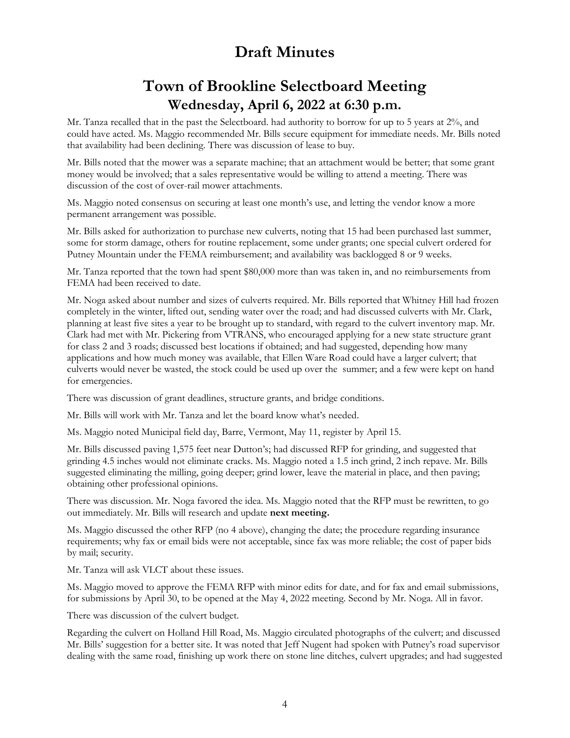# **Town of Brookline Selectboard Meeting Wednesday, April 6, 2022 at 6:30 p.m.**

Mr. Tanza recalled that in the past the Selectboard. had authority to borrow for up to 5 years at 2%, and could have acted. Ms. Maggio recommended Mr. Bills secure equipment for immediate needs. Mr. Bills noted that availability had been declining. There was discussion of lease to buy.

Mr. Bills noted that the mower was a separate machine; that an attachment would be better; that some grant money would be involved; that a sales representative would be willing to attend a meeting. There was discussion of the cost of over-rail mower attachments.

Ms. Maggio noted consensus on securing at least one month's use, and letting the vendor know a more permanent arrangement was possible.

Mr. Bills asked for authorization to purchase new culverts, noting that 15 had been purchased last summer, some for storm damage, others for routine replacement, some under grants; one special culvert ordered for Putney Mountain under the FEMA reimbursement; and availability was backlogged 8 or 9 weeks.

Mr. Tanza reported that the town had spent \$80,000 more than was taken in, and no reimbursements from FEMA had been received to date.

Mr. Noga asked about number and sizes of culverts required. Mr. Bills reported that Whitney Hill had frozen completely in the winter, lifted out, sending water over the road; and had discussed culverts with Mr. Clark, planning at least five sites a year to be brought up to standard, with regard to the culvert inventory map. Mr. Clark had met with Mr. Pickering from VTRANS, who encouraged applying for a new state structure grant for class 2 and 3 roads; discussed best locations if obtained; and had suggested, depending how many applications and how much money was available, that Ellen Ware Road could have a larger culvert; that culverts would never be wasted, the stock could be used up over the summer; and a few were kept on hand for emergencies.

There was discussion of grant deadlines, structure grants, and bridge conditions.

Mr. Bills will work with Mr. Tanza and let the board know what's needed.

Ms. Maggio noted Municipal field day, Barre, Vermont, May 11, register by April 15.

Mr. Bills discussed paving 1,575 feet near Dutton's; had discussed RFP for grinding, and suggested that grinding 4.5 inches would not eliminate cracks. Ms. Maggio noted a 1.5 inch grind, 2 inch repave. Mr. Bills suggested eliminating the milling, going deeper; grind lower, leave the material in place, and then paving; obtaining other professional opinions.

There was discussion. Mr. Noga favored the idea. Ms. Maggio noted that the RFP must be rewritten, to go out immediately. Mr. Bills will research and update **next meeting.**

Ms. Maggio discussed the other RFP (no 4 above), changing the date; the procedure regarding insurance requirements; why fax or email bids were not acceptable, since fax was more reliable; the cost of paper bids by mail; security.

Mr. Tanza will ask VLCT about these issues.

Ms. Maggio moved to approve the FEMA RFP with minor edits for date, and for fax and email submissions, for submissions by April 30, to be opened at the May 4, 2022 meeting. Second by Mr. Noga. All in favor.

There was discussion of the culvert budget.

Regarding the culvert on Holland Hill Road, Ms. Maggio circulated photographs of the culvert; and discussed Mr. Bills' suggestion for a better site. It was noted that Jeff Nugent had spoken with Putney's road supervisor dealing with the same road, finishing up work there on stone line ditches, culvert upgrades; and had suggested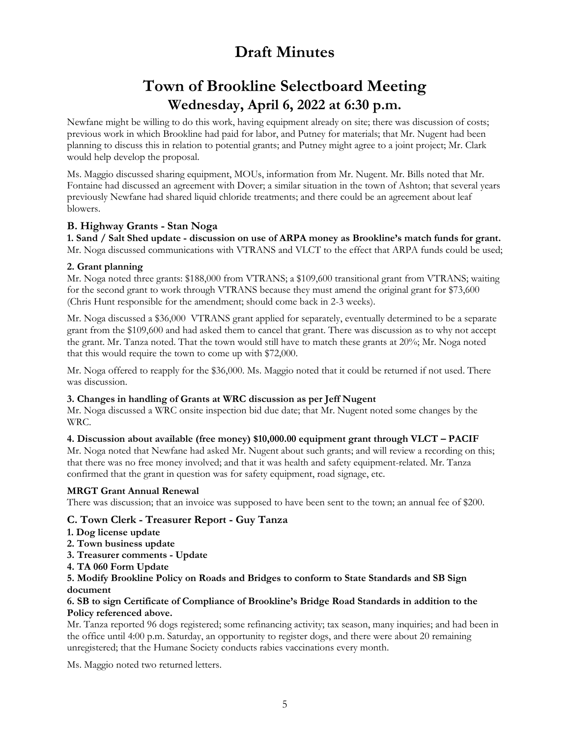# **Town of Brookline Selectboard Meeting Wednesday, April 6, 2022 at 6:30 p.m.**

Newfane might be willing to do this work, having equipment already on site; there was discussion of costs; previous work in which Brookline had paid for labor, and Putney for materials; that Mr. Nugent had been planning to discuss this in relation to potential grants; and Putney might agree to a joint project; Mr. Clark would help develop the proposal.

Ms. Maggio discussed sharing equipment, MOUs, information from Mr. Nugent. Mr. Bills noted that Mr. Fontaine had discussed an agreement with Dover; a similar situation in the town of Ashton; that several years previously Newfane had shared liquid chloride treatments; and there could be an agreement about leaf blowers.

### **B. Highway Grants - Stan Noga**

**1. Sand / Salt Shed update - discussion on use of ARPA money as Brookline's match funds for grant.** Mr. Noga discussed communications with VTRANS and VLCT to the effect that ARPA funds could be used;

#### **2. Grant planning**

Mr. Noga noted three grants: \$188,000 from VTRANS; a \$109,600 transitional grant from VTRANS; waiting for the second grant to work through VTRANS because they must amend the original grant for \$73,600 (Chris Hunt responsible for the amendment; should come back in 2-3 weeks).

Mr. Noga discussed a \$36,000 VTRANS grant applied for separately, eventually determined to be a separate grant from the \$109,600 and had asked them to cancel that grant. There was discussion as to why not accept the grant. Mr. Tanza noted. That the town would still have to match these grants at 20%; Mr. Noga noted that this would require the town to come up with \$72,000.

Mr. Noga offered to reapply for the \$36,000. Ms. Maggio noted that it could be returned if not used. There was discussion.

#### **3. Changes in handling of Grants at WRC discussion as per Jeff Nugent**

Mr. Noga discussed a WRC onsite inspection bid due date; that Mr. Nugent noted some changes by the WRC.

#### **4. Discussion about available (free money) \$10,000.00 equipment grant through VLCT – PACIF**

Mr. Noga noted that Newfane had asked Mr. Nugent about such grants; and will review a recording on this; that there was no free money involved; and that it was health and safety equipment-related. Mr. Tanza confirmed that the grant in question was for safety equipment, road signage, etc.

#### **MRGT Grant Annual Renewal**

There was discussion; that an invoice was supposed to have been sent to the town; an annual fee of \$200.

#### **C. Town Clerk - Treasurer Report - Guy Tanza**

- **1. Dog license update**
- **2. Town business update**
- **3. Treasurer comments - Update**
- **4. TA 060 Form Update**

#### **5. Modify Brookline Policy on Roads and Bridges to conform to State Standards and SB Sign document**

#### **6. SB to sign Certificate of Compliance of Brookline's Bridge Road Standards in addition to the Policy referenced above.**

Mr. Tanza reported 96 dogs registered; some refinancing activity; tax season, many inquiries; and had been in the office until 4:00 p.m. Saturday, an opportunity to register dogs, and there were about 20 remaining unregistered; that the Humane Society conducts rabies vaccinations every month.

Ms. Maggio noted two returned letters.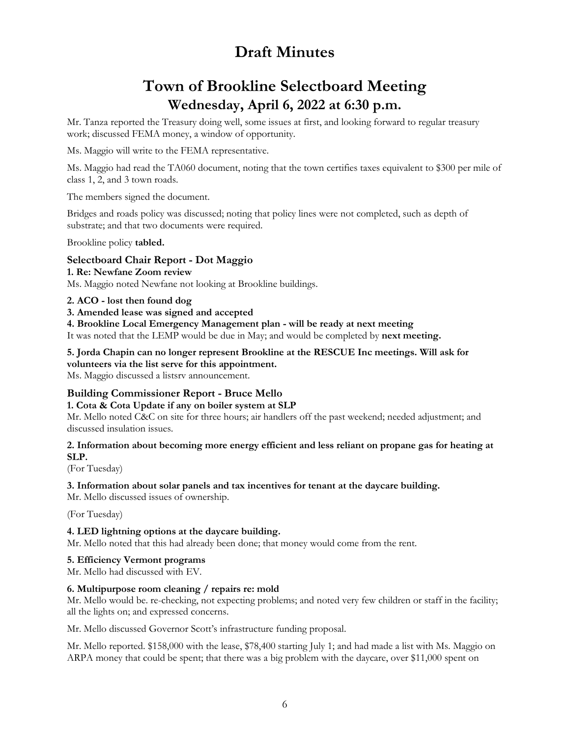# **Town of Brookline Selectboard Meeting Wednesday, April 6, 2022 at 6:30 p.m.**

Mr. Tanza reported the Treasury doing well, some issues at first, and looking forward to regular treasury work; discussed FEMA money, a window of opportunity.

Ms. Maggio will write to the FEMA representative.

Ms. Maggio had read the TA060 document, noting that the town certifies taxes equivalent to \$300 per mile of class 1, 2, and 3 town roads.

The members signed the document.

Bridges and roads policy was discussed; noting that policy lines were not completed, such as depth of substrate; and that two documents were required.

Brookline policy **tabled.**

#### **Selectboard Chair Report - Dot Maggio**

**1. Re: Newfane Zoom review** Ms. Maggio noted Newfane not looking at Brookline buildings.

#### **2. ACO - lost then found dog**

#### **3. Amended lease was signed and accepted**

**4. Brookline Local Emergency Management plan - will be ready at next meeting**

It was noted that the LEMP would be due in May; and would be completed by **next meeting.**

**5. Jorda Chapin can no longer represent Brookline at the RESCUE Inc meetings. Will ask for volunteers via the list serve for this appointment.** Ms. Maggio discussed a listsrv announcement.

### **Building Commissioner Report - Bruce Mello**

#### **1. Cota & Cota Update if any on boiler system at SLP**

Mr. Mello noted C&C on site for three hours; air handlers off the past weekend; needed adjustment; and discussed insulation issues.

#### **2. Information about becoming more energy efficient and less reliant on propane gas for heating at SLP.**

(For Tuesday)

#### **3. Information about solar panels and tax incentives for tenant at the daycare building.**

Mr. Mello discussed issues of ownership.

(For Tuesday)

#### **4. LED lightning options at the daycare building.**

Mr. Mello noted that this had already been done; that money would come from the rent.

#### **5. Efficiency Vermont programs**

Mr. Mello had discussed with EV.

#### **6. Multipurpose room cleaning / repairs re: mold**

Mr. Mello would be. re-checking, not expecting problems; and noted very few children or staff in the facility; all the lights on; and expressed concerns.

Mr. Mello discussed Governor Scott's infrastructure funding proposal.

Mr. Mello reported. \$158,000 with the lease, \$78,400 starting July 1; and had made a list with Ms. Maggio on ARPA money that could be spent; that there was a big problem with the daycare, over \$11,000 spent on